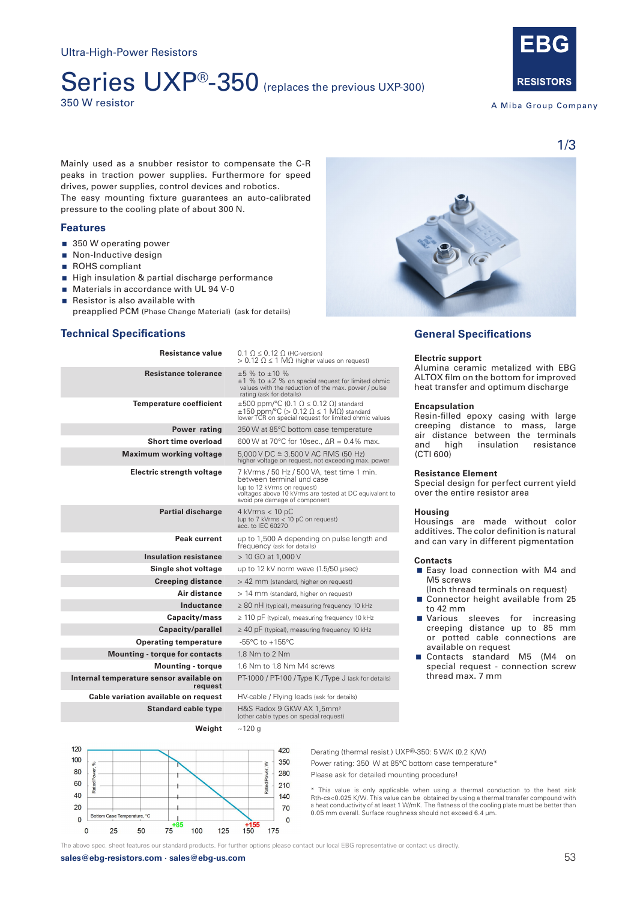# Series UXP®-350 (replaces the previous UXP-300) 350 W resistor



A Miba Group Company

1/3

Mainly used as a snubber resistor to compensate the C-R peaks in traction power supplies. Furthermore for speed drives, power supplies, control devices and robotics. The easy mounting fixture guarantees an auto-calibrated pressure to the cooling plate of about 300 N.

# **Features**

- 350 W operating power
- Non-Inductive design
- ROHS compliant
- High insulation & partial discharge performance
- **Materials in accordance with UL 94 V-0**
- $\blacksquare$  Resistor is also available with preapplied PCM (Phase Change Material) (ask for details)

# **Technical Specifications**

| Resistance value                                    | $0.1 \Omega \leq 0.12 \Omega$ (HC-version)<br>$> 0.12$ Ω $\leq$ 1 MΩ (higher values on request)                                                                                                   |
|-----------------------------------------------------|---------------------------------------------------------------------------------------------------------------------------------------------------------------------------------------------------|
| <b>Resistance tolerance</b>                         | $+5$ % to $+10$ %<br>$\pm 1$ % to $\pm 2$ % on special request for limited ohmic<br>values with the reduction of the max. power / pulse<br>rating (ask for details)                               |
| <b>Temperature coefficient</b>                      | $\pm 500$ ppm/°C (0.1 $\Omega \le 0.12$ $\Omega$ ) standard<br>$\pm 150$ ppm/°C (> 0.12 $\Omega \le 1$ M $\Omega$ ) standard<br>lower TCR on special request for limited ohmic values             |
| Power rating                                        | 350 W at 85°C bottom case temperature                                                                                                                                                             |
| Short time overload                                 | 600 W at 70°C for 10sec $\Delta R = 0.4\%$ max.                                                                                                                                                   |
| <b>Maximum working voltage</b>                      | $5,000 \text{ V}$ DC $\cong$ 3.500 V AC RMS (50 Hz)<br>higher voltage on reguest, not exceeding max. power                                                                                        |
| Electric strength voltage                           | 7 kVrms / 50 Hz / 500 VA, test time 1 min.<br>between terminal und case<br>(up to 12 kVrms on request)<br>voltages above 10 kVrms are tested at DC equivalent to<br>avoid pre damage of component |
| <b>Partial discharge</b>                            | $4$ kVrms $<$ 10 pC<br>(up to 7 kVrms < 10 pC on request)<br>acc. to IEC 60270                                                                                                                    |
| Peak current                                        | up to 1,500 A depending on pulse length and<br>frequency (ask for details)                                                                                                                        |
| <b>Insulation resistance</b>                        | $> 10$ G $\Omega$ at 1,000 V                                                                                                                                                                      |
| Single shot voltage                                 | up to 12 kV norm wave (1.5/50 usec)                                                                                                                                                               |
| <b>Creeping distance</b>                            | > 42 mm (standard, higher on request)                                                                                                                                                             |
| Air distance                                        | > 14 mm (standard, higher on request)                                                                                                                                                             |
| Inductance                                          | $\geq$ 80 nH (typical), measuring frequency 10 kHz                                                                                                                                                |
| Capacity/mass                                       | $\geq$ 110 pF (typical), measuring frequency 10 kHz                                                                                                                                               |
| Capacity/parallel                                   | $\geq$ 40 pF (typical), measuring frequency 10 kHz                                                                                                                                                |
| <b>Operating temperature</b>                        | $-55^{\circ}$ C to $+155^{\circ}$ C                                                                                                                                                               |
| <b>Mounting - torque for contacts</b>               | 1.8 Nm to 2 Nm                                                                                                                                                                                    |
| <b>Mounting - torque</b>                            | 1.6 Nm to 1.8 Nm M4 screws                                                                                                                                                                        |
| Internal temperature sensor available on<br>reauest | PT-1000 / PT-100 / Type K / Type J (ask for details)                                                                                                                                              |
| Cable variation available on request                | HV-cable / Flying leads (ask for details)                                                                                                                                                         |
| <b>Standard cable type</b>                          | H&S Radox 9 GKW AX 1,5mm <sup>2</sup><br>(other cable types on special request)                                                                                                                   |
| Weiaht                                              | ~120 a                                                                                                                                                                                            |



# **General Specifications**

# **Electric support**

Alumina ceramic metalized with EBG ALTOX film on the bottom for improved heat transfer and optimum discharge

# **Encapsulation**

Resin-filled epoxy casing with large creeping distance to mass, large air distance between the terminals<br>and high insulation resistance resistance (CTI 600)

#### **Resistance Element**

Special design for perfect current yield over the entire resistor area

# **Housing**

Housings are made without color additives. The color definition is natural and can vary in different pigmentation

# **Contacts**

- Easy load connection with M4 and M5 screws
	- (Inch thread terminals on request)
- Connector height available from 25 to 42 mm
- **Narious** sleeves for increasing creeping distance up to 85 mm or potted cable connections are available on request
- Contacts standard M5 (M4 on special request - connection screw thread max. 7 mm



Derating (thermal resist.) UXP®-350: 5 W/K (0.2 K/W) Power rating: 350 W at 85°C bottom case temperature\* Please ask for detailed mounting procedure!

\* This value is only applicable when using a thermal conduction to the heat sink Rth-cs<0.025 K/W. This value can be obtained by using a thermal transfer compound with a heat conductivity of at least 1 W/mK. The flatness of the cooling plate must be better than 0.05 mm overall. Surface roughness should not exceed 6.4 μm.

The above spec. sheet features our standard products. For further options please contact our local EBG representative or contact us directly.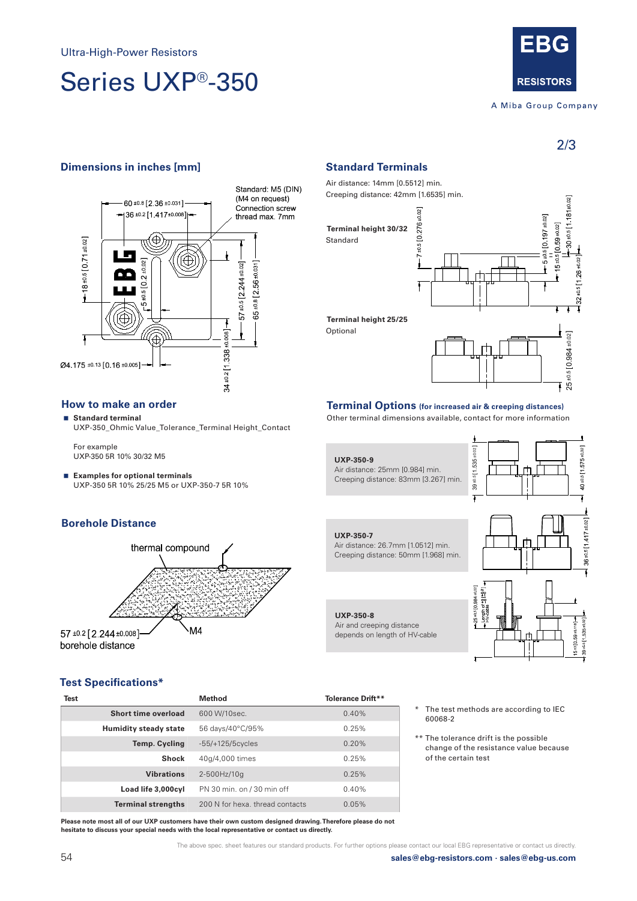# Series UXP®-350



# A Miba Group Company

2/3

40 ±0.5 [1 575 ±0.02]

# **Dimensions in inches [mm] Standard Terminals**



# **How to make an order**

 **Standard terminal** UXP-350\_Ohmic Value\_Tolerance\_Terminal Height\_Contact

For example UXP-350 5R 10% 30/32 M5

 **Examples for optional terminals** UXP-350 5R 10% 25/25 M5 or UXP-350-7 5R 10%

# **Borehole Distance**



Air distance: 14mm [0.5512] min. Creeping distance: 42mm [1.6535] min.

# **Terminal height 30/32**

Standard

Optional



# **Terminal Options (for increased air & creeping distances)**

Other terminal dimensions available, contact for more information



Air and creeping distance depends on length of HV-cable



# **Test Specifications\***

| Test |                              | Method                          | <b>Tolerance Drift**</b> |
|------|------------------------------|---------------------------------|--------------------------|
|      | Short time overload          | 600 W/10sec.                    | $0.40\%$                 |
|      | <b>Humidity steady state</b> | 56 days/40°C/95%                | 0.25%                    |
|      | <b>Temp. Cycling</b>         | $-55/+125/5cycles$              | $0.20\%$                 |
|      | <b>Shock</b>                 | 40q/4,000 times                 | 0.25%                    |
|      | <b>Vibrations</b>            | 2-500Hz/10g                     | 0.25%                    |
|      | Load life 3,000cyl           | PN 30 min. on / 30 min off      | $0.40\%$                 |
|      | <b>Terminal strengths</b>    | 200 N for hexa, thread contacts | 0.05%                    |

**Please note most all of our UXP customers have their own custom designed drawing. Therefore please do not hesitate to discuss your special needs with the local representative or contact us directly.**

The test methods are according to IEC 60068-2

\*\* The tolerance drift is the possible change of the resistance value because of the certain test

The above spec. sheet features our standard products. For further options please contact our local EBG representative or contact us directly.